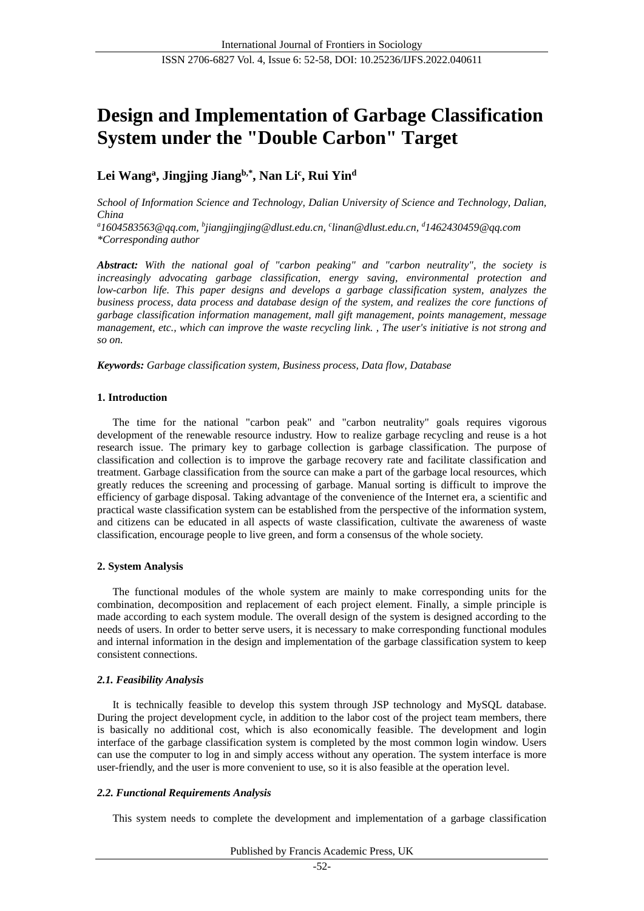# **Design and Implementation of Garbage Classification System under the "Double Carbon" Target**

# **Lei Wang<sup>a</sup> , Jingjing Jiangb,\*, Nan Li<sup>c</sup> , Rui Yin<sup>d</sup>**

*School of Information Science and Technology, Dalian University of Science and Technology, Dalian, China*

*<sup>a</sup>1604583563@qq.com, <sup>b</sup> jiangjingjing@dlust.edu.cn, <sup>c</sup> linan@dlust.edu.cn, <sup>d</sup>1462430459@qq.com \*Corresponding author*

*Abstract: With the national goal of "carbon peaking" and "carbon neutrality", the society is increasingly advocating garbage classification, energy saving, environmental protection and low-carbon life. This paper designs and develops a garbage classification system, analyzes the business process, data process and database design of the system, and realizes the core functions of garbage classification information management, mall gift management, points management, message management, etc., which can improve the waste recycling link. , The user's initiative is not strong and so on.*

*Keywords: Garbage classification system, Business process, Data flow, Database*

## **1. Introduction**

The time for the national "carbon peak" and "carbon neutrality" goals requires vigorous development of the renewable resource industry. How to realize garbage recycling and reuse is a hot research issue. The primary key to garbage collection is garbage classification. The purpose of classification and collection is to improve the garbage recovery rate and facilitate classification and treatment. Garbage classification from the source can make a part of the garbage local resources, which greatly reduces the screening and processing of garbage. Manual sorting is difficult to improve the efficiency of garbage disposal. Taking advantage of the convenience of the Internet era, a scientific and practical waste classification system can be established from the perspective of the information system, and citizens can be educated in all aspects of waste classification, cultivate the awareness of waste classification, encourage people to live green, and form a consensus of the whole society.

## **2. System Analysis**

The functional modules of the whole system are mainly to make corresponding units for the combination, decomposition and replacement of each project element. Finally, a simple principle is made according to each system module. The overall design of the system is designed according to the needs of users. In order to better serve users, it is necessary to make corresponding functional modules and internal information in the design and implementation of the garbage classification system to keep consistent connections.

## *2.1. Feasibility Analysis*

It is technically feasible to develop this system through JSP technology and MySQL database. During the project development cycle, in addition to the labor cost of the project team members, there is basically no additional cost, which is also economically feasible. The development and login interface of the garbage classification system is completed by the most common login window. Users can use the computer to log in and simply access without any operation. The system interface is more user-friendly, and the user is more convenient to use, so it is also feasible at the operation level.

## *2.2. Functional Requirements Analysis*

This system needs to complete the development and implementation of a garbage classification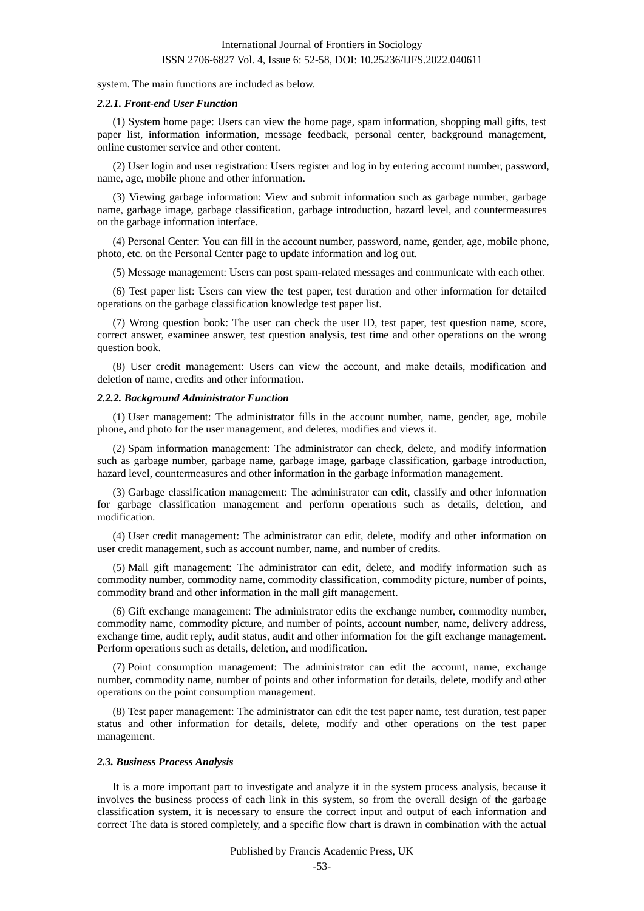system. The main functions are included as below.

#### *2.2.1. Front-end User Function*

(1) System home page: Users can view the home page, spam information, shopping mall gifts, test paper list, information information, message feedback, personal center, background management, online customer service and other content.

(2) User login and user registration: Users register and log in by entering account number, password, name, age, mobile phone and other information.

(3) Viewing garbage information: View and submit information such as garbage number, garbage name, garbage image, garbage classification, garbage introduction, hazard level, and countermeasures on the garbage information interface.

(4) Personal Center: You can fill in the account number, password, name, gender, age, mobile phone, photo, etc. on the Personal Center page to update information and log out.

(5) Message management: Users can post spam-related messages and communicate with each other.

(6) Test paper list: Users can view the test paper, test duration and other information for detailed operations on the garbage classification knowledge test paper list.

(7) Wrong question book: The user can check the user ID, test paper, test question name, score, correct answer, examinee answer, test question analysis, test time and other operations on the wrong question book.

(8) User credit management: Users can view the account, and make details, modification and deletion of name, credits and other information.

#### *2.2.2. Background Administrator Function*

(1) User management: The administrator fills in the account number, name, gender, age, mobile phone, and photo for the user management, and deletes, modifies and views it.

(2) Spam information management: The administrator can check, delete, and modify information such as garbage number, garbage name, garbage image, garbage classification, garbage introduction, hazard level, countermeasures and other information in the garbage information management.

(3) Garbage classification management: The administrator can edit, classify and other information for garbage classification management and perform operations such as details, deletion, and modification.

(4) User credit management: The administrator can edit, delete, modify and other information on user credit management, such as account number, name, and number of credits.

(5) Mall gift management: The administrator can edit, delete, and modify information such as commodity number, commodity name, commodity classification, commodity picture, number of points, commodity brand and other information in the mall gift management.

(6) Gift exchange management: The administrator edits the exchange number, commodity number, commodity name, commodity picture, and number of points, account number, name, delivery address, exchange time, audit reply, audit status, audit and other information for the gift exchange management. Perform operations such as details, deletion, and modification.

(7) Point consumption management: The administrator can edit the account, name, exchange number, commodity name, number of points and other information for details, delete, modify and other operations on the point consumption management.

(8) Test paper management: The administrator can edit the test paper name, test duration, test paper status and other information for details, delete, modify and other operations on the test paper management.

#### *2.3. Business Process Analysis*

It is a more important part to investigate and analyze it in the system process analysis, because it involves the business process of each link in this system, so from the overall design of the garbage classification system, it is necessary to ensure the correct input and output of each information and correct The data is stored completely, and a specific flow chart is drawn in combination with the actual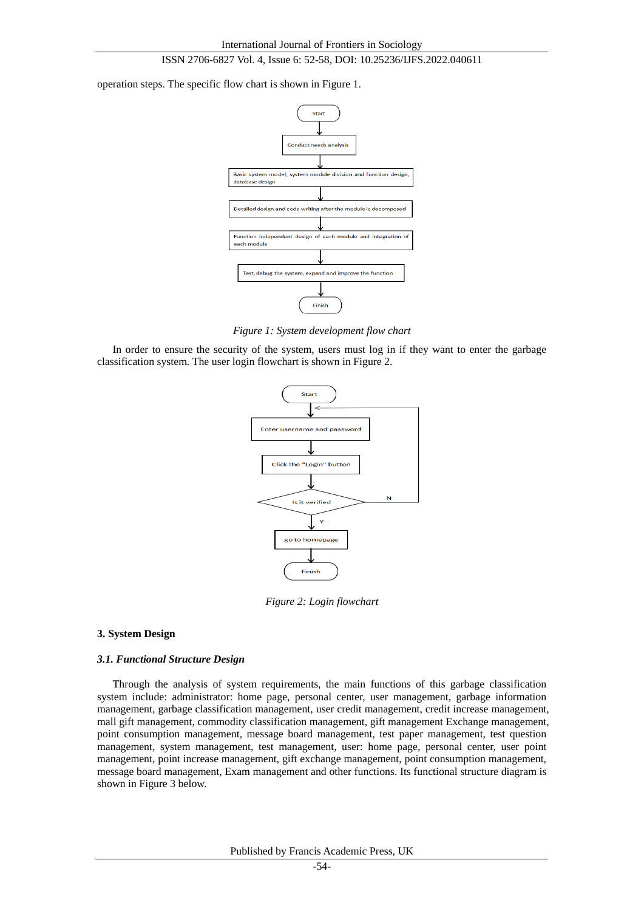operation steps. The specific flow chart is shown in Figure 1.



*Figure 1: System development flow chart*

In order to ensure the security of the system, users must log in if they want to enter the garbage classification system. The user login flowchart is shown in Figure 2.



*Figure 2: Login flowchart*

#### **3. System Design**

#### *3.1. Functional Structure Design*

Through the analysis of system requirements, the main functions of this garbage classification system include: administrator: home page, personal center, user management, garbage information management, garbage classification management, user credit management, credit increase management, mall gift management, commodity classification management, gift management Exchange management, point consumption management, message board management, test paper management, test question management, system management, test management, user: home page, personal center, user point management, point increase management, gift exchange management, point consumption management, message board management, Exam management and other functions. Its functional structure diagram is shown in Figure 3 below.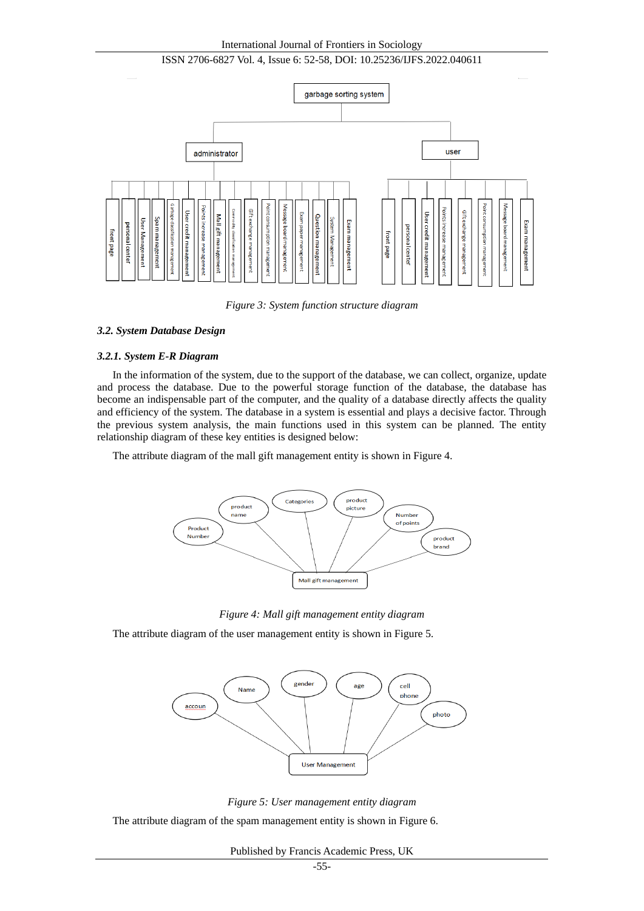#### International Journal of Frontiers in Sociology

### ISSN 2706-6827 Vol. 4, Issue 6: 52-58, DOI: 10.25236/IJFS.2022.040611



*Figure 3: System function structure diagram*

#### *3.2. System Database Design*

#### *3.2.1. System E-R Diagram*

In the information of the system, due to the support of the database, we can collect, organize, update and process the database. Due to the powerful storage function of the database, the database has become an indispensable part of the computer, and the quality of a database directly affects the quality and efficiency of the system. The database in a system is essential and plays a decisive factor. Through the previous system analysis, the main functions used in this system can be planned. The entity relationship diagram of these key entities is designed below:

The attribute diagram of the mall gift management entity is shown in Figure 4.



*Figure 4: Mall gift management entity diagram*

The attribute diagram of the user management entity is shown in Figure 5.



*Figure 5: User management entity diagram*

The attribute diagram of the spam management entity is shown in Figure 6.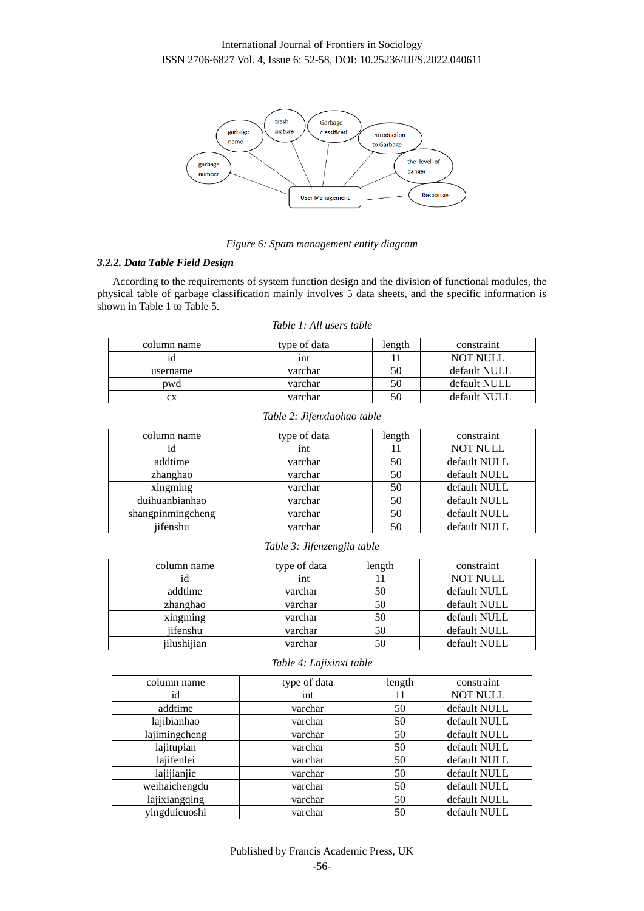

*Figure 6: Spam management entity diagram*

#### *3.2.2. Data Table Field Design*

According to the requirements of system function design and the division of functional modules, the physical table of garbage classification mainly involves 5 data sheets, and the specific information is shown in Table 1 to Table 5.

|  |  |  |  | Table 1: All users table |  |
|--|--|--|--|--------------------------|--|
|--|--|--|--|--------------------------|--|

| column name | type of data | length | constraint      |
|-------------|--------------|--------|-----------------|
|             | ınt          |        | <b>NOT NULL</b> |
| username    | varchar      | 50     | default NULL    |
| pwd         | varchar      | 50     | default NULL    |
| cх          | varchar      | 50     | default NULL    |

#### *Table 2: Jifenxiaohao table*

| column name       | type of data | length | constraint      |
|-------------------|--------------|--------|-----------------|
| id                | int          | 11     | <b>NOT NULL</b> |
| addtime           | varchar      | 50     | default NULL    |
| zhanghao          | varchar      | 50     | default NULL    |
| xingming          | varchar      | 50     | default NULL    |
| duihuanbianhao    | varchar      | 50     | default NULL    |
| shangpinmingcheng | varchar      | 50     | default NULL    |
| iifenshu          | varchar      | 50     | default NULL    |

*Table 3: Jifenzengjia table*

| column name | type of data | length | constraint      |
|-------------|--------------|--------|-----------------|
|             | int          |        | <b>NOT NULL</b> |
| addtime     | varchar      | 50     | default NULL    |
| zhanghao    | varchar      | 50     | default NULL    |
| xingming    | varchar      | 50     | default NULL    |
| iifenshu    | varchar      | 50     | default NULL    |
| jilushijian | varchar      |        | default NULL    |

#### *Table 4: Lajixinxi table*

| column name   | type of data | length | constraint      |
|---------------|--------------|--------|-----------------|
| id            | int          | 11     | <b>NOT NULL</b> |
| addtime       | varchar      | 50     | default NULL    |
| lajibianhao   | varchar      | 50     | default NULL    |
| lajimingcheng | varchar      | 50     | default NULL    |
| lajitupian    | varchar      | 50     | default NULL    |
| lajifenlei    | varchar      | 50     | default NULL    |
| lajijianjie   | varchar      | 50     | default NULL    |
| weihaichengdu | varchar      | 50     | default NULL    |
| lajixiangqing | varchar      | 50     | default NULL    |
| yingduicuoshi | varchar      | 50     | default NULL    |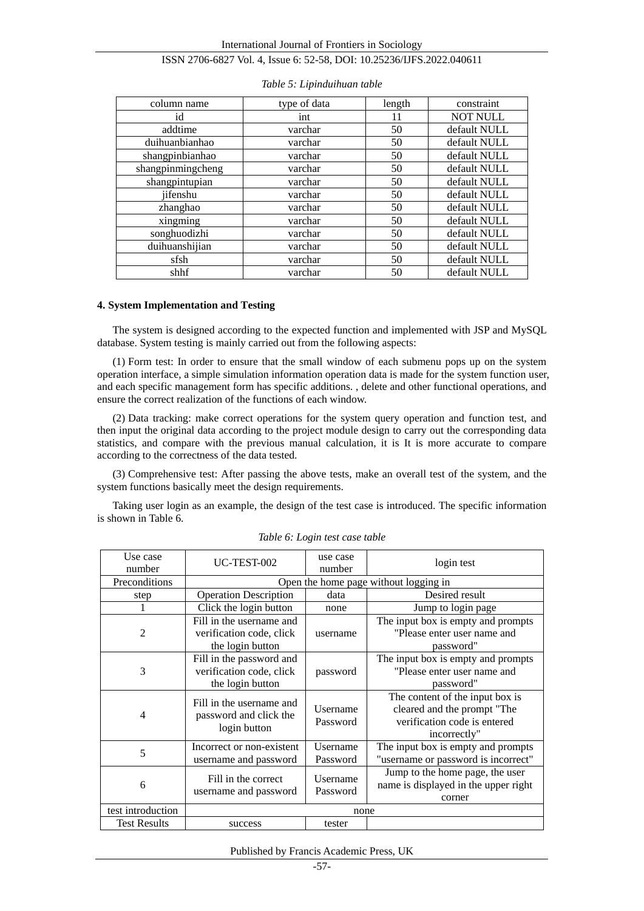| column name       | type of data | length | constraint      |
|-------------------|--------------|--------|-----------------|
| id                | int          | 11     | <b>NOT NULL</b> |
| addtime           | varchar      | 50     | default NULL    |
| duihuanbianhao    | varchar      | 50     | default NULL    |
| shangpinbianhao   | varchar      | 50     | default NULL    |
| shangpinmingcheng | varchar      | 50     | default NULL    |
| shangpintupian    | varchar      | 50     | default NULL    |
| jifenshu          | varchar      | 50     | default NULL    |
| zhanghao          | varchar      | 50     | default NULL    |
| xingming          | varchar      | 50     | default NULL    |
| songhuodizhi      | varchar      | 50     | default NULL    |
| duihuanshijian    | varchar      | 50     | default NULL    |
| sfsh              | varchar      | 50     | default NULL    |
| shhf              | varchar      | 50     | default NULL    |

#### *Table 5: Lipinduihuan table*

#### **4. System Implementation and Testing**

The system is designed according to the expected function and implemented with JSP and MySQL database. System testing is mainly carried out from the following aspects:

(1) Form test: In order to ensure that the small window of each submenu pops up on the system operation interface, a simple simulation information operation data is made for the system function user, and each specific management form has specific additions. , delete and other functional operations, and ensure the correct realization of the functions of each window.

(2) Data tracking: make correct operations for the system query operation and function test, and then input the original data according to the project module design to carry out the corresponding data statistics, and compare with the previous manual calculation, it is It is more accurate to compare according to the correctness of the data tested.

(3) Comprehensive test: After passing the above tests, make an overall test of the system, and the system functions basically meet the design requirements.

Taking user login as an example, the design of the test case is introduced. The specific information is shown in Table 6.

| Use case<br>number  | UC-TEST-002                                                              | use case<br>number                    | login test                                                                                                     |  |  |
|---------------------|--------------------------------------------------------------------------|---------------------------------------|----------------------------------------------------------------------------------------------------------------|--|--|
| Preconditions       |                                                                          | Open the home page without logging in |                                                                                                                |  |  |
| step                | <b>Operation Description</b>                                             | data                                  | Desired result                                                                                                 |  |  |
|                     | Click the login button                                                   | none                                  | Jump to login page                                                                                             |  |  |
| $\overline{c}$      | Fill in the username and<br>verification code, click<br>the login button | username                              | The input box is empty and prompts<br>"Please enter user name and<br>password"                                 |  |  |
| 3                   | Fill in the password and<br>verification code, click<br>the login button | password                              | The input box is empty and prompts<br>"Please enter user name and<br>password"                                 |  |  |
| 4                   | Fill in the username and<br>password and click the<br>login button       | <b>U</b> sername<br>Password          | The content of the input box is<br>cleared and the prompt "The<br>verification code is entered<br>incorrectly" |  |  |
| 5                   | Incorrect or non-existent<br>username and password                       | Username<br>Password                  | The input box is empty and prompts<br>"username or password is incorrect"                                      |  |  |
| 6                   | Fill in the correct<br>username and password                             | Username<br>Password                  | Jump to the home page, the user<br>name is displayed in the upper right<br>corner                              |  |  |
| test introduction   | none                                                                     |                                       |                                                                                                                |  |  |
| <b>Test Results</b> | success                                                                  | tester                                |                                                                                                                |  |  |

*Table 6: Login test case table*